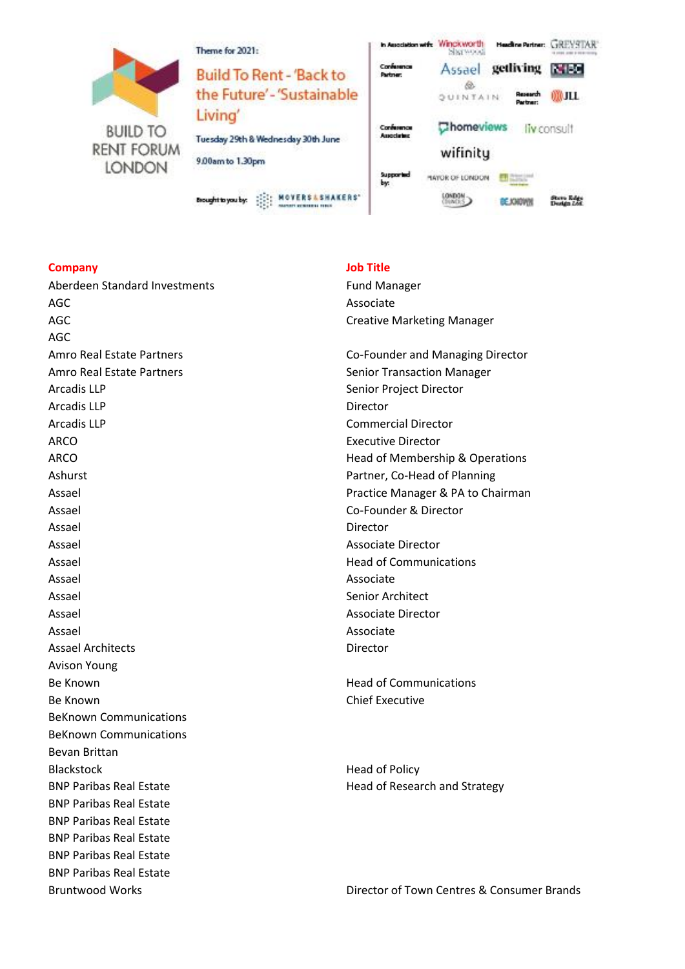

| Theme for 2021:                                                   | In Association with: WINCKWONTH   | <b>SINTWOOD</b>          | Heading Partner:                  | GREVATAR    |
|-------------------------------------------------------------------|-----------------------------------|--------------------------|-----------------------------------|-------------|
| <b>Build To Rent - 'Back to</b><br>the Future'-'Sustainable       | Confessores<br>Partmer:           | Assael<br>88<br>QUINTAIN | getliving<br>Research<br>Partner: | 000 JLL     |
| Living'<br>Tuesday 29th & Wednesday 30th June<br>9.00am to 1.30pm | Confessores<br><b>Association</b> | Chomeviews<br>wifinity   |                                   | liv consult |
| Brought to you by:                                                | Supported<br>by:                  | HAYOR OF LONDON          | <b>DE JOHOWI</b>                  |             |

## **Company Job Title**

Aberdeen Standard Investments Fund Manager AGC Associate AGC AGC AGC CREATED ASSESSED A Creative Marketing Manager AGC Amro Real Estate Partners **Co-Founder and Managing Director** Co-Founder and Managing Director Amro Real Estate Partners **Senior Transaction Manager** Senior Transaction Manager Arcadis LLP Senior Project Director Arcadis LLP Director Arcadis LLP Commercial Director ARCO **Executive Director** Ashurst **Ashurst Partner, Co-Head of Planning** Assael **Co-Founder & Director** Assael **Director Director** Assael Associate Director Assael **Assael Head of Communications** Assael Associate Assael **Senior Architect Senior Architect** Assael Associate Director Assael **Assael** Associate Assael Architects Director Avison Young Be Known **Head of Communications** Be Known **Chief Executive** BeKnown Communications BeKnown Communications Bevan Brittan Blackstock **Head of Policy** BNP Paribas Real Estate **Head of Research and Strategy** BNP Paribas Real Estate BNP Paribas Real Estate BNP Paribas Real Estate BNP Paribas Real Estate BNP Paribas Real Estate

ARCO **ARCO Head of Membership & Operations Head of Membership & Operations** Assael **Assael Assael Practice Manager & PA to Chairman** 

Bruntwood Works Director of Town Centres & Consumer Brands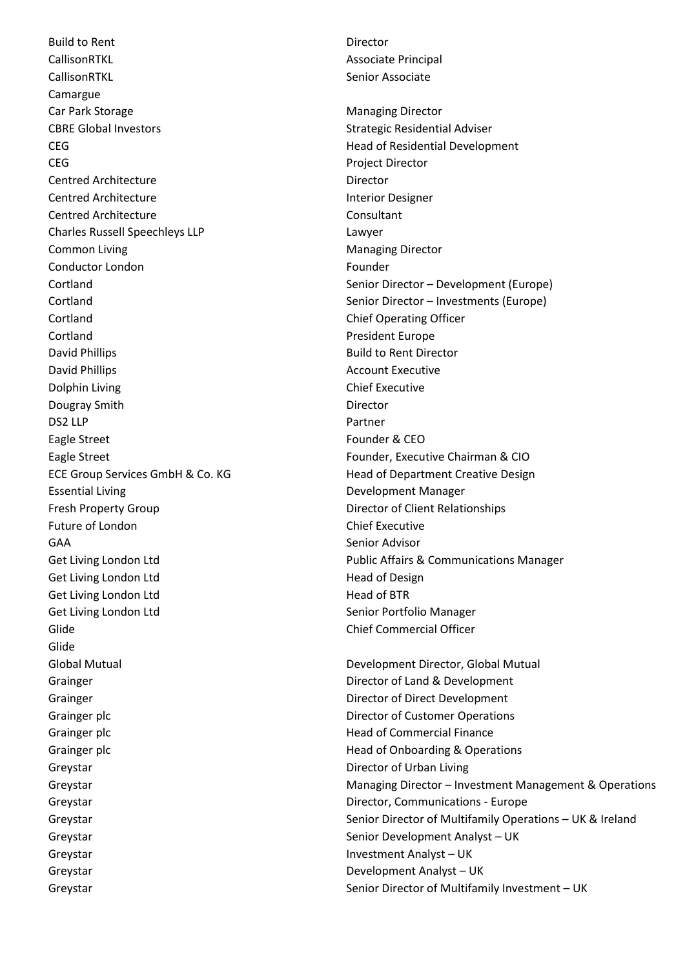Build to Rent **Director** CallisonRTKL **Associate Principal** CallisonRTKL **Senior Associate** Senior Associate Camargue Car Park Storage **Managing Director** Managing Director CBRE Global Investors and Strategic Residential Adviser **CEG CEG Head of Residential Development** CEG Project Director Centred Architecture **Director** Director Centred Architecture **Interior Designer** Centred Architecture Centred Architecture **Consultant** Charles Russell Speechleys LLP Lawyer Common Living **Managing Director** Managing Director Conductor London Founder Cortland Cortland Cortland Chief Operating Officer Cortland President Europe David Phillips **Build to Rent Director** David Phillips **Account Executive COUNTER** Dolphin Living **Chief Executive** Dougray Smith **Director** Director DS2 LLP Partner Eagle Street Founder & CEO Eagle Street Founder, Executive Chairman & CIO ECE Group Services GmbH & Co. KG Head of Department Creative Design Essential Living **Example 2018** Development Manager Fresh Property Group **Director of Client Relationships** Future of London **Chief Executive** GAA Senior Advisor Get Living London Ltd **Head of Design** Get Living London Ltd Head of BTR Get Living London Ltd Senior Portfolio Manager Glide Chief Commercial Officer Glide Global Mutual **Development Director, Global Mutual** Development Director, Global Mutual Grainger **Director of Land & Development** Grainger **Director of Direct Development Director of Direct Development** Grainger plc **Director of Customer Operations** Grainger plc **Grainger plc Head of Commercial Finance** Grainger plc **Grainger plc** Grainger plc **Head of Onboarding & Operations** Greystar **Director of Urban Living** Greystar **Greystar** Director, Communications - Europe Greystar Senior Development Analyst – UK Greystar **Investment Analyst – UK** Greystar **Greystar** Development Analyst – UK

Cortland Senior Director – Development (Europe) Cortland Senior Director – Investments (Europe) Get Living London Ltd **Public Affairs & Communications Manager** Public Affairs & Communications Manager

Greystar **Managing Director – Investment Management & Operations** Creystar Greystar Senior Director of Multifamily Operations – UK & Ireland Greystar Senior Director of Multifamily Investment – UK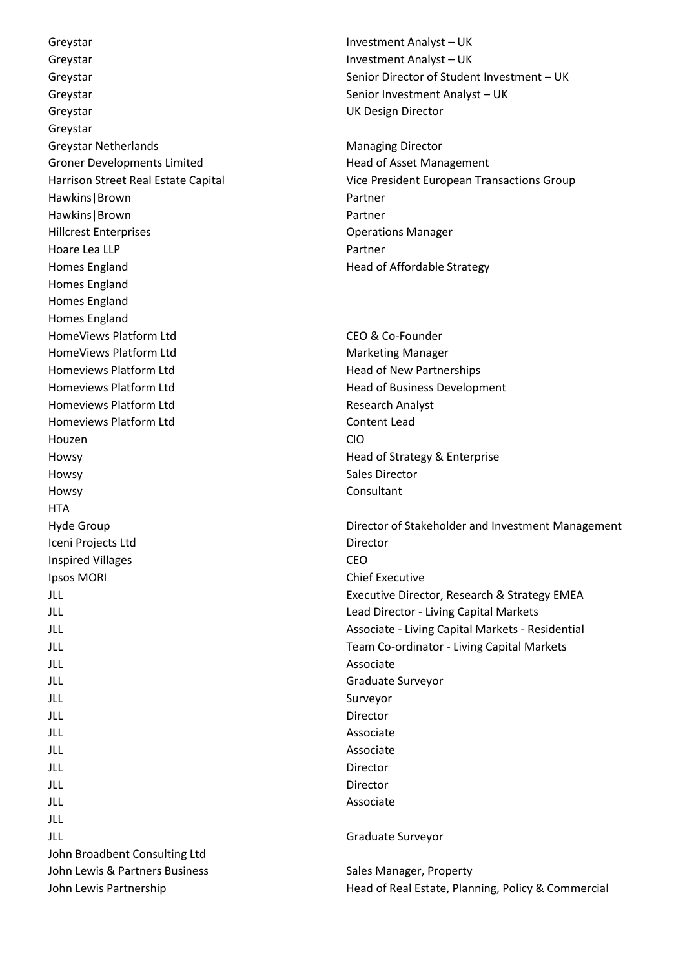Greystar **Investment Analyst – UK Investment Analyst – UK** Greystar **Investment Analyst – UK** Greystar Senior Investment Analyst – UK Greystar UK Design Director Greystar Greystar Netherlands **Managing Director** Managing Director Groner Developments Limited **Head of Asset Management** Hawkins | Brown Partner Hawkins | Brown Partner Hillcrest Enterprises Operations Manager Hoare Lea LLP Partner Homes England **Head of Affordable Strategy** Homes England Homes England Homes England HomeViews Platform Ltd **CEO & Co-Founder** HomeViews Platform Ltd Marketing Manager Homeviews Platform Ltd **Head of New Partnerships** Homeviews Platform Ltd **Head of Business Development** Homeviews Platform Ltd **Research Analyst** Research Analyst Homeviews Platform Ltd Content Lead Houzen CIO Howsy **Head of Strategy & Enterprise** Howsy **Sales Director** Howsy Consultant **HTA** Iceni Projects Ltd Director Inspired Villages **CEO Ipsos MORI** Chief Executive JLL Associate JLL Graduate Surveyor JLL Surveyor JLL Director JLL Associate JLL Associate JLL Director JLL Director JLL Associate JLL JLL Graduate Surveyor John Broadbent Consulting Ltd John Lewis & Partners Business Sales Manager, Property

Greystar Senior Director of Student Investment – UK

Harrison Street Real Estate Capital Vice President European Transactions Group

Hyde Group **Director of Stakeholder and Investment Management** Director of Stakeholder and Investment Management JLL Executive Director, Research & Strategy EMEA JLL Lead Director - Living Capital Markets JLL Associate - Living Capital Markets - Residential JLL Team Co-ordinator - Living Capital Markets

John Lewis Partnership **Head of Real Estate, Planning, Policy & Commercial** Head of Real Estate, Planning, Policy & Commercial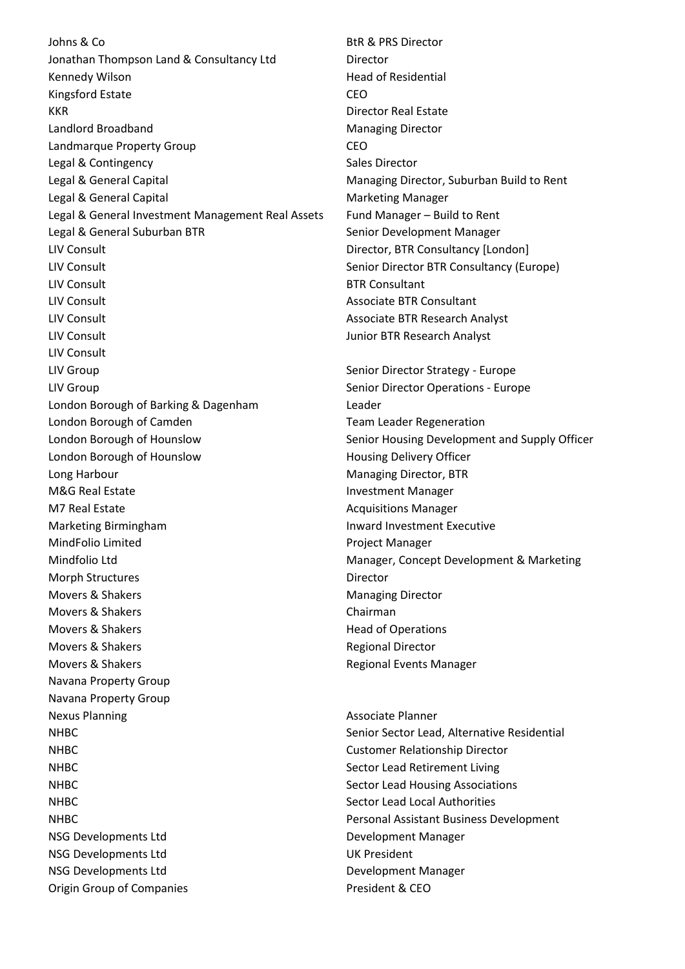Johns & Co **BtR & PRS Director** Jonathan Thompson Land & Consultancy Ltd Director Kennedy Wilson **Head of Residential** Kingsford Estate CEO KKR Director Real Estate Landlord Broadband Managing Director Landmarque Property Group CEO Legal & Contingency **Sales Director** Sales Director Legal & General Capital Managing Director, Suburban Build to Rent Legal & General Capital Manager Capital Manager Legal & General Investment Management Real Assets Fund Manager – Build to Rent Legal & General Suburban BTR Senior Development Manager LIV Consult Director, BTR Consultancy [London] LIV Consult **Senior Director BTR Consultancy (Europe)** Senior Director BTR Consultancy (Europe) LIV Consult **BTR** Consultant LIV Consult Associate BTR Consultant LIV Consult Associate BTR Research Analyst LIV Consult Junior BTR Research Analyst LIV Consult LIV Group **Senior Director Strategy - Europe** Senior Director Strategy - Europe LIV Group Senior Director Operations - Europe London Borough of Barking & Dagenham Leader London Borough of Camden Team Team Leader Regeneration London Borough of Hounslow Senior Housing Development and Supply Officer London Borough of Hounslow **Housing Delivery Officer** Long Harbour **Managing Director, BTR** Managing Director, BTR M&G Real Estate Investment Manager M7 Real Estate Acquisitions Manager Marketing Birmingham Inward Investment Executive MindFolio Limited **Project Manager** Project Manager Mindfolio Ltd Manager, Concept Development & Marketing Morph Structures **Director** Director Movers & Shakers **Managing Director** Managing Director Movers & Shakers Chairman Movers & Shakers **Head of Operations** Head of Operations Movers & Shakers **Regional Director** Regional Director Movers & Shakers **Regional Events Manager** Regional Events Manager Navana Property Group Navana Property Group Nexus Planning Associate Planner NHBC Senior Sector Lead, Alternative Residential NHBC Customer Relationship Director NHBC Sector Lead Retirement Living NHBC Sector Lead Housing Associations (Sector Lead Housing Associations) NHBC Sector Lead Local Authorities NHBC Personal Assistant Business Development NSG Developments Ltd Development Manager NSG Developments Ltd UK President NSG Developments Ltd Development Manager Origin Group of Companies **President & CEO**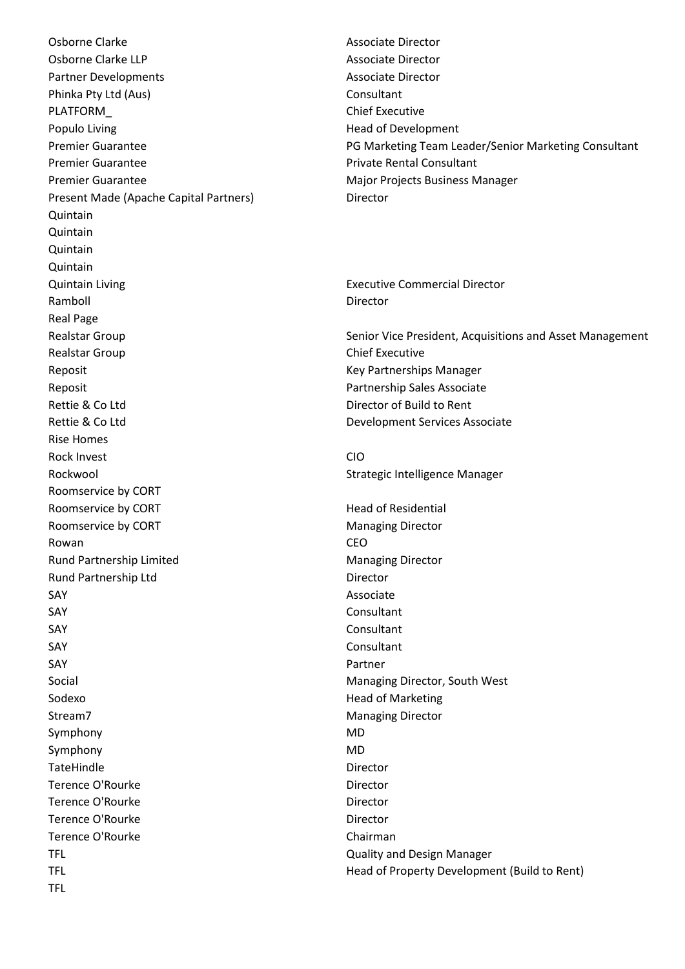Osborne Clarke Associate Director Osborne Clarke LLP Associate Director Partner Developments Associate Director Phinka Pty Ltd (Aus) Consultant PLATFORM Chief Executive Populo Living **Head of Development** Premier Guarantee **Private Rental Consultant** Premier Guarantee **Major Projects Business Manager** Major Projects Business Manager Present Made (Apache Capital Partners) Director Quintain **Quintain** Quintain Quintain Quintain Living Executive Commercial Director Ramboll **Director** Real Page Realstar Group **Chief Executive** Reposit **Key Partnerships Manager** Key Partnerships Manager Reposit **Partnership Sales Associate** Partnership Sales Associate Rettie & Co Ltd Director of Build to Rent Rettie & Co Ltd **Development Services Associate** Rise Homes Rock Invest **CIO** Rockwool **Strategic Intelligence Manager** Strategic Intelligence Manager Roomservice by CORT Roomservice by CORT **Head of Residential** Roomservice by CORT **Managing Director** Managing Director Rowan **CEO** Rund Partnership Limited Managing Director Rund Partnership Ltd Director SAY Associate SAY Consultant SAY Consultant SAY Consultant SAY Partner Social Managing Director, South West Sodexo **Head of Marketing** Stream7 Managing Director Symphony MD Symphony MD TateHindle **Director** Terence O'Rourke **Director** Director Terence O'Rourke **Director** Terence O'Rourke **Director** Director Terence O'Rourke Chairman TFL Quality and Design Manager TFL

Premier Guarantee **PG Marketing Team Leader/Senior Marketing Consultant** 

Realstar Group **Senior Vice President, Acquisitions and Asset Management** Senior Vice President, Acquisitions and Asset Management

TFL Head of Property Development (Build to Rent)